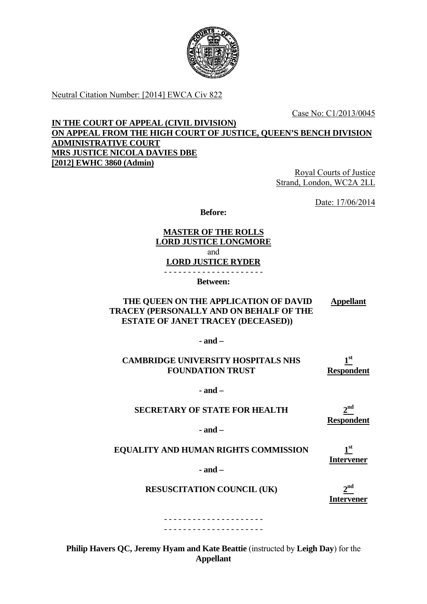

Neutral Citation Number: [2014] EWCA Civ 822

Case No: C1/2013/0045

**IN THE COURT OF APPEAL (CIVIL DIVISION) ON APPEAL FROM THE HIGH COURT OF JUSTICE, QUEEN'S BENCH DIVISION ADMINISTRATIVE COURT MRS JUSTICE NICOLA DAVIES DBE [2012] EWHC 3860 (Admin)** 

Royal Courts of Justice Strand, London, WC2A 2LL

Date: 17/06/2014

**Before:** 

#### **MASTER OF THE ROLLS LORD JUSTICE LONGMORE**  and **LORD JUSTICE RYDER**  - - - - - - - - - - - - - - - - - - - - -

**Between:**

#### **THE QUEEN ON THE APPLICATION OF DAVID TRACEY (PERSONALLY AND ON BEHALF OF THE ESTATE OF JANET TRACEY (DECEASED)) Appellant**

**- and –** 

#### **CAMBRIDGE UNIVERSITY HOSPITALS NHS FOUNDATION TRUST 1st Respondent**

**- and –** 

#### **SECRETARY OF STATE FOR HEALTH**

**2nd Respondent** 

**- and –** 

# **EQUALITY AND HUMAN RIGHTS COMMISSION**

**1st Intervener** 

**- and –** 

**RESUSCITATION COUNCIL (UK)** 2<sup>nd</sup>

**Intervener** 

- - - - - - - - - - - - - - - - - - - - - - - - - - - - - - - - - - - - - - - - - -

**Philip Havers QC, Jeremy Hyam and Kate Beattie** (instructed by **Leigh Day**) for the **Appellant**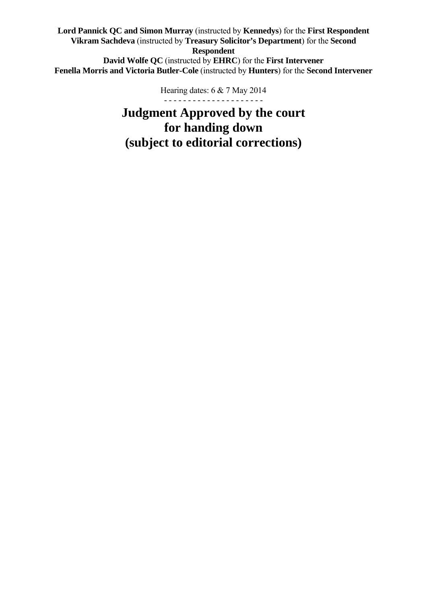**Lord Pannick QC and Simon Murray** (instructed by **Kennedys**) for the **First Respondent Vikram Sachdeva** (instructed by **Treasury Solicitor's Department**) for the **Second Respondent David Wolfe QC** (instructed by **EHRC**) for the **First Intervener Fenella Morris and Victoria Butler-Cole** (instructed by **Hunters**) for the **Second Intervener** 

> - - - - - - - - - - - - - - - - - - - - - Hearing dates: 6 & 7 May 2014

**Judgment Approved by the court for handing down (subject to editorial corrections)**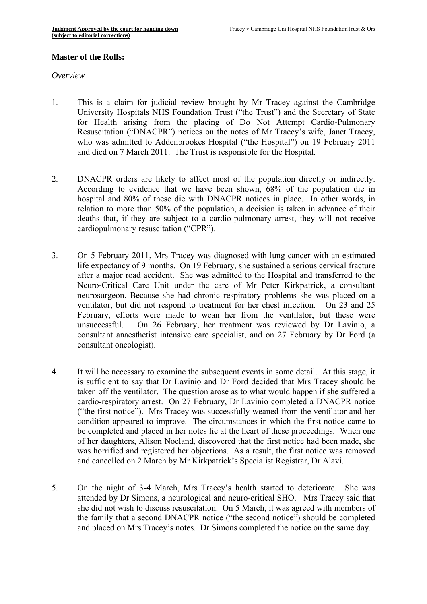#### **Master of the Rolls:**

*Overview* 

- 1. This is a claim for judicial review brought by Mr Tracey against the Cambridge University Hospitals NHS Foundation Trust ("the Trust") and the Secretary of State for Health arising from the placing of Do Not Attempt Cardio-Pulmonary Resuscitation ("DNACPR") notices on the notes of Mr Tracey's wife, Janet Tracey, who was admitted to Addenbrookes Hospital ("the Hospital") on 19 February 2011 and died on 7 March 2011. The Trust is responsible for the Hospital.
- 2. DNACPR orders are likely to affect most of the population directly or indirectly. According to evidence that we have been shown, 68% of the population die in hospital and 80% of these die with DNACPR notices in place. In other words, in relation to more than 50% of the population, a decision is taken in advance of their deaths that, if they are subject to a cardio-pulmonary arrest, they will not receive cardiopulmonary resuscitation ("CPR").
- 3. On 5 February 2011, Mrs Tracey was diagnosed with lung cancer with an estimated life expectancy of 9 months. On 19 February, she sustained a serious cervical fracture after a major road accident. She was admitted to the Hospital and transferred to the Neuro-Critical Care Unit under the care of Mr Peter Kirkpatrick, a consultant neurosurgeon. Because she had chronic respiratory problems she was placed on a ventilator, but did not respond to treatment for her chest infection. On 23 and 25 February, efforts were made to wean her from the ventilator, but these were unsuccessful. On 26 February, her treatment was reviewed by Dr Lavinio, a consultant anaesthetist intensive care specialist, and on 27 February by Dr Ford (a consultant oncologist).
- 4. It will be necessary to examine the subsequent events in some detail. At this stage, it is sufficient to say that Dr Lavinio and Dr Ford decided that Mrs Tracey should be taken off the ventilator. The question arose as to what would happen if she suffered a cardio-respiratory arrest. On 27 February, Dr Lavinio completed a DNACPR notice ("the first notice"). Mrs Tracey was successfully weaned from the ventilator and her condition appeared to improve. The circumstances in which the first notice came to be completed and placed in her notes lie at the heart of these proceedings. When one of her daughters, Alison Noeland, discovered that the first notice had been made, she was horrified and registered her objections. As a result, the first notice was removed and cancelled on 2 March by Mr Kirkpatrick's Specialist Registrar, Dr Alavi.
- 5. On the night of 3-4 March, Mrs Tracey's health started to deteriorate. She was attended by Dr Simons, a neurological and neuro-critical SHO. Mrs Tracey said that she did not wish to discuss resuscitation. On 5 March, it was agreed with members of the family that a second DNACPR notice ("the second notice") should be completed and placed on Mrs Tracey's notes. Dr Simons completed the notice on the same day.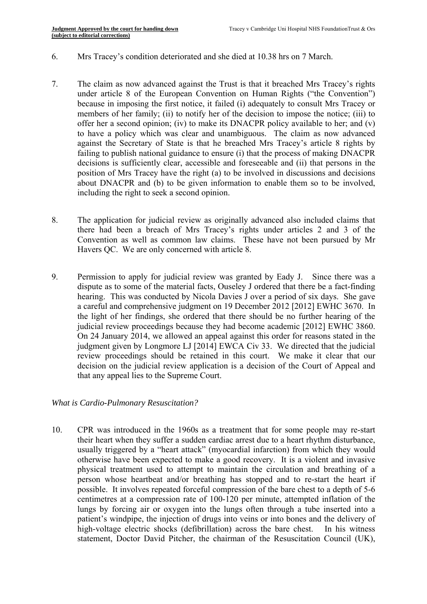- 6. Mrs Tracey's condition deteriorated and she died at 10.38 hrs on 7 March.
- 7. The claim as now advanced against the Trust is that it breached Mrs Tracey's rights under article 8 of the European Convention on Human Rights ("the Convention") because in imposing the first notice, it failed (i) adequately to consult Mrs Tracey or members of her family; (ii) to notify her of the decision to impose the notice; (iii) to offer her a second opinion; (iv) to make its DNACPR policy available to her; and (v) to have a policy which was clear and unambiguous. The claim as now advanced against the Secretary of State is that he breached Mrs Tracey's article 8 rights by failing to publish national guidance to ensure (i) that the process of making DNACPR decisions is sufficiently clear, accessible and foreseeable and (ii) that persons in the position of Mrs Tracey have the right (a) to be involved in discussions and decisions about DNACPR and (b) to be given information to enable them so to be involved, including the right to seek a second opinion.
- 8. The application for judicial review as originally advanced also included claims that there had been a breach of Mrs Tracey's rights under articles 2 and 3 of the Convention as well as common law claims. These have not been pursued by Mr Havers QC. We are only concerned with article 8.
- 9. Permission to apply for judicial review was granted by Eady J. Since there was a dispute as to some of the material facts, Ouseley J ordered that there be a fact-finding hearing. This was conducted by Nicola Davies J over a period of six days. She gave a careful and comprehensive judgment on 19 December 2012 [2012] EWHC 3670. In the light of her findings, she ordered that there should be no further hearing of the judicial review proceedings because they had become academic [2012] EWHC 3860. On 24 January 2014, we allowed an appeal against this order for reasons stated in the judgment given by Longmore LJ [2014] EWCA Civ 33. We directed that the judicial review proceedings should be retained in this court. We make it clear that our decision on the judicial review application is a decision of the Court of Appeal and that any appeal lies to the Supreme Court.

## *What is Cardio-Pulmonary Resuscitation?*

10. CPR was introduced in the 1960s as a treatment that for some people may re-start their heart when they suffer a sudden cardiac arrest due to a heart rhythm disturbance, usually triggered by a "heart attack" (myocardial infarction) from which they would otherwise have been expected to make a good recovery. It is a violent and invasive physical treatment used to attempt to maintain the circulation and breathing of a person whose heartbeat and/or breathing has stopped and to re-start the heart if possible. It involves repeated forceful compression of the bare chest to a depth of 5-6 centimetres at a compression rate of 100-120 per minute, attempted inflation of the lungs by forcing air or oxygen into the lungs often through a tube inserted into a patient's windpipe, the injection of drugs into veins or into bones and the delivery of high-voltage electric shocks (defibrillation) across the bare chest. In his witness statement, Doctor David Pitcher, the chairman of the Resuscitation Council (UK),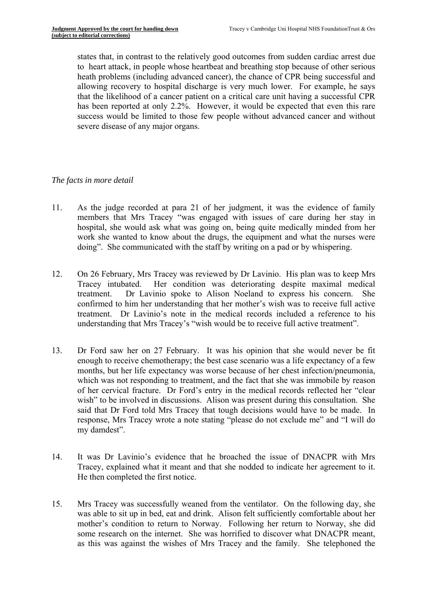states that, in contrast to the relatively good outcomes from sudden cardiac arrest due to heart attack, in people whose heartbeat and breathing stop because of other serious heath problems (including advanced cancer), the chance of CPR being successful and allowing recovery to hospital discharge is very much lower. For example, he says that the likelihood of a cancer patient on a critical care unit having a successful CPR has been reported at only 2.2%. However, it would be expected that even this rare success would be limited to those few people without advanced cancer and without severe disease of any major organs.

#### *The facts in more detail*

- 11. As the judge recorded at para 21 of her judgment, it was the evidence of family members that Mrs Tracey "was engaged with issues of care during her stay in hospital, she would ask what was going on, being quite medically minded from her work she wanted to know about the drugs, the equipment and what the nurses were doing". She communicated with the staff by writing on a pad or by whispering.
- 12. On 26 February, Mrs Tracey was reviewed by Dr Lavinio. His plan was to keep Mrs Tracey intubated. Her condition was deteriorating despite maximal medical treatment. Dr Lavinio spoke to Alison Noeland to express his concern. She confirmed to him her understanding that her mother's wish was to receive full active treatment. Dr Lavinio's note in the medical records included a reference to his understanding that Mrs Tracey's "wish would be to receive full active treatment".
- 13. Dr Ford saw her on 27 February. It was his opinion that she would never be fit enough to receive chemotherapy; the best case scenario was a life expectancy of a few months, but her life expectancy was worse because of her chest infection/pneumonia, which was not responding to treatment, and the fact that she was immobile by reason of her cervical fracture. Dr Ford's entry in the medical records reflected her "clear wish" to be involved in discussions. Alison was present during this consultation. She said that Dr Ford told Mrs Tracey that tough decisions would have to be made. In response, Mrs Tracey wrote a note stating "please do not exclude me" and "I will do my damdest".
- 14. It was Dr Lavinio's evidence that he broached the issue of DNACPR with Mrs Tracey, explained what it meant and that she nodded to indicate her agreement to it. He then completed the first notice.
- 15. Mrs Tracey was successfully weaned from the ventilator. On the following day, she was able to sit up in bed, eat and drink. Alison felt sufficiently comfortable about her mother's condition to return to Norway. Following her return to Norway, she did some research on the internet. She was horrified to discover what DNACPR meant, as this was against the wishes of Mrs Tracey and the family. She telephoned the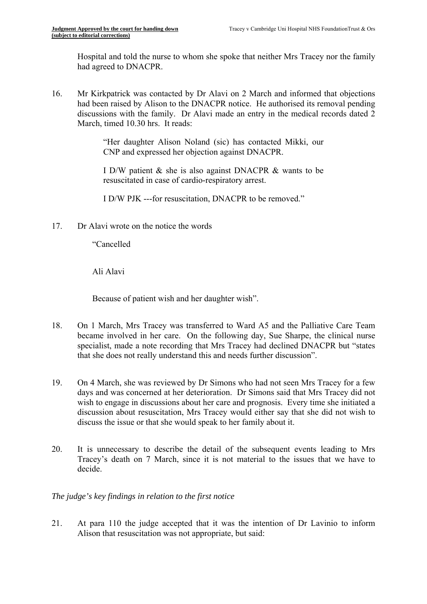Hospital and told the nurse to whom she spoke that neither Mrs Tracey nor the family had agreed to DNACPR.

16. Mr Kirkpatrick was contacted by Dr Alavi on 2 March and informed that objections had been raised by Alison to the DNACPR notice. He authorised its removal pending discussions with the family. Dr Alavi made an entry in the medical records dated 2 March, timed 10.30 hrs. It reads:

> "Her daughter Alison Noland (sic) has contacted Mikki, our CNP and expressed her objection against DNACPR.

> I D/W patient & she is also against DNACPR & wants to be resuscitated in case of cardio-respiratory arrest.

I D/W PJK ---for resuscitation, DNACPR to be removed."

17 Dr Alavi wrote on the notice the words

"Cancelled

Ali Alavi

Because of patient wish and her daughter wish".

- 18. On 1 March, Mrs Tracey was transferred to Ward A5 and the Palliative Care Team became involved in her care. On the following day, Sue Sharpe, the clinical nurse specialist, made a note recording that Mrs Tracey had declined DNACPR but "states that she does not really understand this and needs further discussion".
- 19. On 4 March, she was reviewed by Dr Simons who had not seen Mrs Tracey for a few days and was concerned at her deterioration. Dr Simons said that Mrs Tracey did not wish to engage in discussions about her care and prognosis. Every time she initiated a discussion about resuscitation, Mrs Tracey would either say that she did not wish to discuss the issue or that she would speak to her family about it.
- 20. It is unnecessary to describe the detail of the subsequent events leading to Mrs Tracey's death on 7 March, since it is not material to the issues that we have to decide.

# *The judge's key findings in relation to the first notice*

21. At para 110 the judge accepted that it was the intention of Dr Lavinio to inform Alison that resuscitation was not appropriate, but said: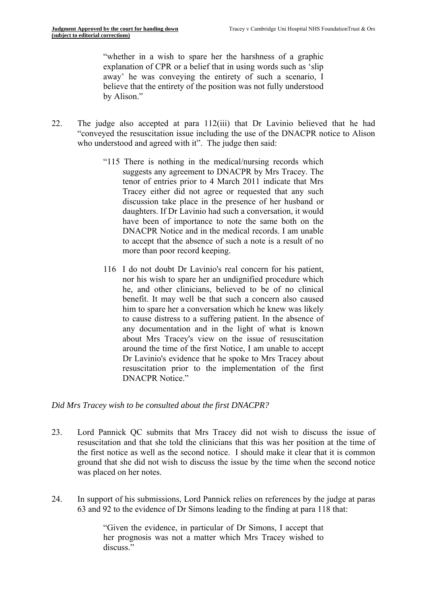"whether in a wish to spare her the harshness of a graphic explanation of CPR or a belief that in using words such as 'slip away' he was conveying the entirety of such a scenario, I believe that the entirety of the position was not fully understood by Alison."

- 22. The judge also accepted at para 112(iii) that Dr Lavinio believed that he had "conveyed the resuscitation issue including the use of the DNACPR notice to Alison who understood and agreed with it". The judge then said:
	- "115 There is nothing in the medical/nursing records which suggests any agreement to DNACPR by Mrs Tracey. The tenor of entries prior to 4 March 2011 indicate that Mrs Tracey either did not agree or requested that any such discussion take place in the presence of her husband or daughters. If Dr Lavinio had such a conversation, it would have been of importance to note the same both on the DNACPR Notice and in the medical records. I am unable to accept that the absence of such a note is a result of no more than poor record keeping.
	- 116 I do not doubt Dr Lavinio's real concern for his patient, nor his wish to spare her an undignified procedure which he, and other clinicians, believed to be of no clinical benefit. It may well be that such a concern also caused him to spare her a conversation which he knew was likely to cause distress to a suffering patient. In the absence of any documentation and in the light of what is known about Mrs Tracey's view on the issue of resuscitation around the time of the first Notice, I am unable to accept Dr Lavinio's evidence that he spoke to Mrs Tracey about resuscitation prior to the implementation of the first DNACPR Notice"

#### *Did Mrs Tracey wish to be consulted about the first DNACPR?*

- 23. Lord Pannick QC submits that Mrs Tracey did not wish to discuss the issue of resuscitation and that she told the clinicians that this was her position at the time of the first notice as well as the second notice. I should make it clear that it is common ground that she did not wish to discuss the issue by the time when the second notice was placed on her notes.
- 24. In support of his submissions, Lord Pannick relies on references by the judge at paras 63 and 92 to the evidence of Dr Simons leading to the finding at para 118 that:

"Given the evidence, in particular of Dr Simons, I accept that her prognosis was not a matter which Mrs Tracey wished to discuss<sup>"</sup>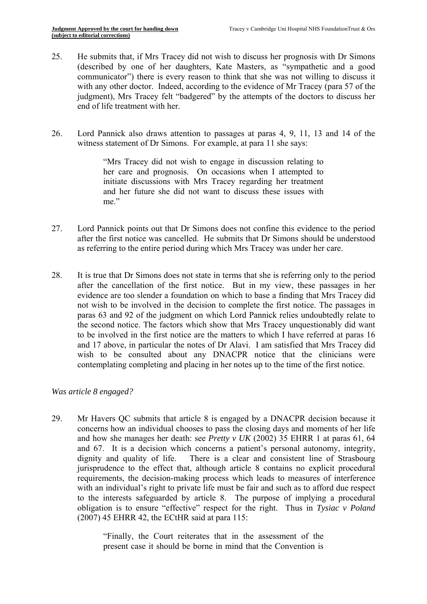- 25. He submits that, if Mrs Tracey did not wish to discuss her prognosis with Dr Simons (described by one of her daughters, Kate Masters, as "sympathetic and a good communicator") there is every reason to think that she was not willing to discuss it with any other doctor. Indeed, according to the evidence of Mr Tracey (para 57 of the judgment), Mrs Tracey felt "badgered" by the attempts of the doctors to discuss her end of life treatment with her.
- 26. Lord Pannick also draws attention to passages at paras 4, 9, 11, 13 and 14 of the witness statement of Dr Simons. For example, at para 11 she says:

"Mrs Tracey did not wish to engage in discussion relating to her care and prognosis. On occasions when I attempted to initiate discussions with Mrs Tracey regarding her treatment and her future she did not want to discuss these issues with me"

- 27. Lord Pannick points out that Dr Simons does not confine this evidence to the period after the first notice was cancelled. He submits that Dr Simons should be understood as referring to the entire period during which Mrs Tracey was under her care.
- 28. It is true that Dr Simons does not state in terms that she is referring only to the period after the cancellation of the first notice. But in my view, these passages in her evidence are too slender a foundation on which to base a finding that Mrs Tracey did not wish to be involved in the decision to complete the first notice. The passages in paras 63 and 92 of the judgment on which Lord Pannick relies undoubtedly relate to the second notice. The factors which show that Mrs Tracey unquestionably did want to be involved in the first notice are the matters to which I have referred at paras 16 and 17 above, in particular the notes of Dr Alavi. I am satisfied that Mrs Tracey did wish to be consulted about any DNACPR notice that the clinicians were contemplating completing and placing in her notes up to the time of the first notice.

## *Was article 8 engaged?*

29. Mr Havers QC submits that article 8 is engaged by a DNACPR decision because it concerns how an individual chooses to pass the closing days and moments of her life and how she manages her death: see *Pretty v UK* (2002) 35 EHRR 1 at paras 61, 64 and 67. It is a decision which concerns a patient's personal autonomy, integrity, dignity and quality of life. There is a clear and consistent line of Strasbourg jurisprudence to the effect that, although article 8 contains no explicit procedural requirements, the decision-making process which leads to measures of interference with an individual's right to private life must be fair and such as to afford due respect to the interests safeguarded by article 8. The purpose of implying a procedural obligation is to ensure "effective" respect for the right. Thus in *Tysiac v Poland*  (2007) 45 EHRR 42, the ECtHR said at para 115:

> "Finally, the Court reiterates that in the assessment of the present case it should be borne in mind that the Convention is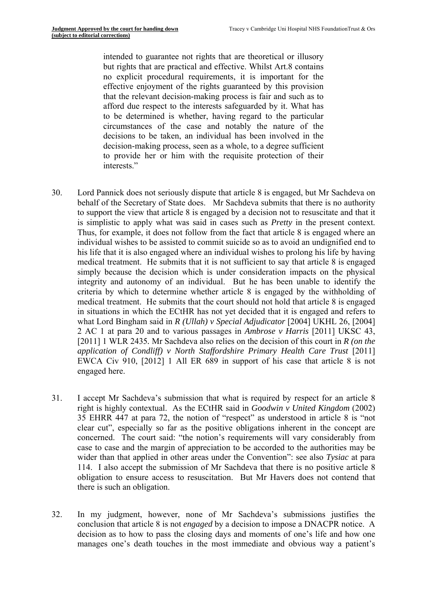intended to guarantee not rights that are theoretical or illusory but rights that are practical and effective. Whilst Art.8 contains no explicit procedural requirements, it is important for the effective enjoyment of the rights guaranteed by this provision that the relevant decision-making process is fair and such as to afford due respect to the interests safeguarded by it. What has to be determined is whether, having regard to the particular circumstances of the case and notably the nature of the decisions to be taken, an individual has been involved in the decision-making process, seen as a whole, to a degree sufficient to provide her or him with the requisite protection of their interests."

- 30. Lord Pannick does not seriously dispute that article 8 is engaged, but Mr Sachdeva on behalf of the Secretary of State does. Mr Sachdeva submits that there is no authority to support the view that article 8 is engaged by a decision not to resuscitate and that it is simplistic to apply what was said in cases such as *Pretty* in the present context. Thus, for example, it does not follow from the fact that article 8 is engaged where an individual wishes to be assisted to commit suicide so as to avoid an undignified end to his life that it is also engaged where an individual wishes to prolong his life by having medical treatment. He submits that it is not sufficient to say that article 8 is engaged simply because the decision which is under consideration impacts on the physical integrity and autonomy of an individual. But he has been unable to identify the criteria by which to determine whether article 8 is engaged by the withholding of medical treatment. He submits that the court should not hold that article 8 is engaged in situations in which the ECtHR has not yet decided that it is engaged and refers to what Lord Bingham said in *R (Ullah) v Special Adjudicator* [2004] UKHL 26, [2004] 2 AC 1 at para 20 and to various passages in *Ambrose v Harris* [2011] UKSC 43, [2011] 1 WLR 2435*.* Mr Sachdeva also relies on the decision of this court in *R (on the application of Condliff) v North Staffordshire Primary Health Care Trust* [2011] EWCA Civ 910, [2012] 1 All ER 689 in support of his case that article 8 is not engaged here.
- 31. I accept Mr Sachdeva's submission that what is required by respect for an article 8 right is highly contextual. As the ECtHR said in *Goodwin v United Kingdom* (2002) 35 EHRR 447 at para 72, the notion of "respect" as understood in article 8 is "not clear cut", especially so far as the positive obligations inherent in the concept are concerned. The court said: "the notion's requirements will vary considerably from case to case and the margin of appreciation to be accorded to the authorities may be wider than that applied in other areas under the Convention": see also *Tysiac* at para 114. I also accept the submission of Mr Sachdeva that there is no positive article 8 obligation to ensure access to resuscitation. But Mr Havers does not contend that there is such an obligation.
- 32. In my judgment, however, none of Mr Sachdeva's submissions justifies the conclusion that article 8 is not *engaged* by a decision to impose a DNACPR notice. A decision as to how to pass the closing days and moments of one's life and how one manages one's death touches in the most immediate and obvious way a patient's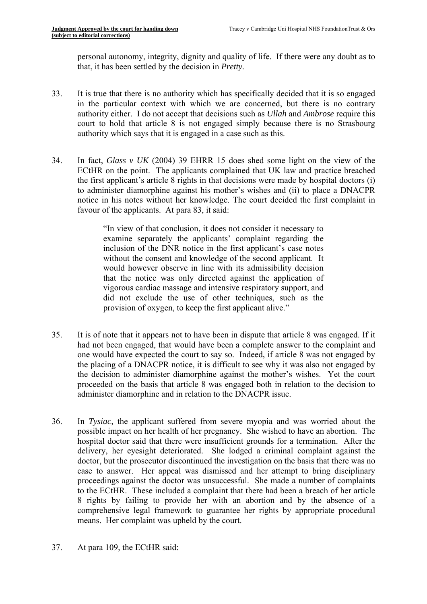personal autonomy, integrity, dignity and quality of life. If there were any doubt as to that, it has been settled by the decision in *Pretty.* 

- 33. It is true that there is no authority which has specifically decided that it is so engaged in the particular context with which we are concerned, but there is no contrary authority either. I do not accept that decisions such as *Ullah* and *Ambrose* require this court to hold that article 8 is not engaged simply because there is no Strasbourg authority which says that it is engaged in a case such as this.
- 34. In fact, *Glass v UK* (2004) 39 EHRR 15 does shed some light on the view of the ECtHR on the point. The applicants complained that UK law and practice breached the first applicant's article 8 rights in that decisions were made by hospital doctors (i) to administer diamorphine against his mother's wishes and (ii) to place a DNACPR notice in his notes without her knowledge. The court decided the first complaint in favour of the applicants. At para 83, it said:

"In view of that conclusion, it does not consider it necessary to examine separately the applicants' complaint regarding the inclusion of the DNR notice in the first applicant's case notes without the consent and knowledge of the second applicant. It would however observe in line with its admissibility decision that the notice was only directed against the application of vigorous cardiac massage and intensive respiratory support, and did not exclude the use of other techniques, such as the provision of oxygen, to keep the first applicant alive."

- 35. It is of note that it appears not to have been in dispute that article 8 was engaged. If it had not been engaged, that would have been a complete answer to the complaint and one would have expected the court to say so. Indeed, if article 8 was not engaged by the placing of a DNACPR notice, it is difficult to see why it was also not engaged by the decision to administer diamorphine against the mother's wishes. Yet the court proceeded on the basis that article 8 was engaged both in relation to the decision to administer diamorphine and in relation to the DNACPR issue.
- 36. In *Tysiac,* the applicant suffered from severe myopia and was worried about the possible impact on her health of her pregnancy. She wished to have an abortion. The hospital doctor said that there were insufficient grounds for a termination. After the delivery, her eyesight deteriorated. She lodged a criminal complaint against the doctor, but the prosecutor discontinued the investigation on the basis that there was no case to answer. Her appeal was dismissed and her attempt to bring disciplinary proceedings against the doctor was unsuccessful. She made a number of complaints to the ECtHR. These included a complaint that there had been a breach of her article 8 rights by failing to provide her with an abortion and by the absence of a comprehensive legal framework to guarantee her rights by appropriate procedural means. Her complaint was upheld by the court.
- 37. At para 109, the ECtHR said: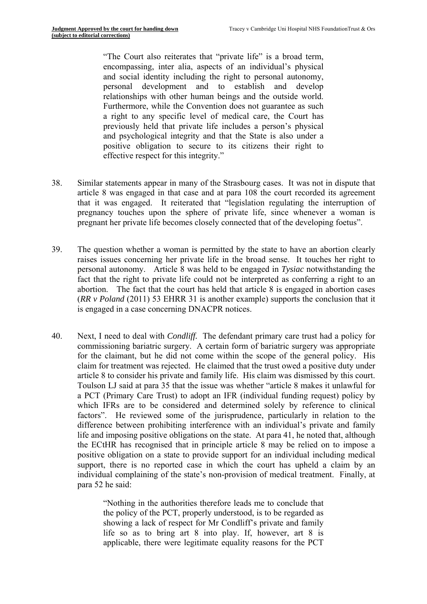"The Court also reiterates that "private life" is a broad term, encompassing, inter alia, aspects of an individual's physical and social identity including the right to personal autonomy, personal development and to establish and develop relationships with other human beings and the outside world. Furthermore, while the Convention does not guarantee as such a right to any specific level of medical care, the Court has previously held that private life includes a person's physical and psychological integrity and that the State is also under a positive obligation to secure to its citizens their right to effective respect for this integrity."

- 38. Similar statements appear in many of the Strasbourg cases. It was not in dispute that article 8 was engaged in that case and at para 108 the court recorded its agreement that it was engaged. It reiterated that "legislation regulating the interruption of pregnancy touches upon the sphere of private life, since whenever a woman is pregnant her private life becomes closely connected that of the developing foetus".
- abortion. The fact that the court has held that article 8 is engaged in abortion cases 39. The question whether a woman is permitted by the state to have an abortion clearly raises issues concerning her private life in the broad sense. It touches her right to personal autonomy. Article 8 was held to be engaged in *Tysiac* notwithstanding the fact that the right to private life could not be interpreted as conferring a right to an (*RR v Poland* (2011) 53 EHRR 31 is another example) supports the conclusion that it is engaged in a case concerning DNACPR notices.
- 40. Next, I need to deal with *Condliff.* The defendant primary care trust had a policy for commissioning bariatric surgery. A certain form of bariatric surgery was appropriate for the claimant, but he did not come within the scope of the general policy. His claim for treatment was rejected. He claimed that the trust owed a positive duty under article 8 to consider his private and family life. His claim was dismissed by this court. Toulson LJ said at para 35 that the issue was whether "article 8 makes it unlawful for a PCT (Primary Care Trust) to adopt an IFR (individual funding request) policy by which IFRs are to be considered and determined solely by reference to clinical factors". He reviewed some of the jurisprudence, particularly in relation to the difference between prohibiting interference with an individual's private and family life and imposing positive obligations on the state. At para 41, he noted that, although the ECtHR has recognised that in principle article 8 may be relied on to impose a positive obligation on a state to provide support for an individual including medical support, there is no reported case in which the court has upheld a claim by an individual complaining of the state's non-provision of medical treatment. Finally, at para 52 he said:

"Nothing in the authorities therefore leads me to conclude that the policy of the PCT, properly understood, is to be regarded as showing a lack of respect for Mr Condliff's private and family life so as to bring art 8 into play. If, however, art 8 is applicable, there were legitimate equality reasons for the PCT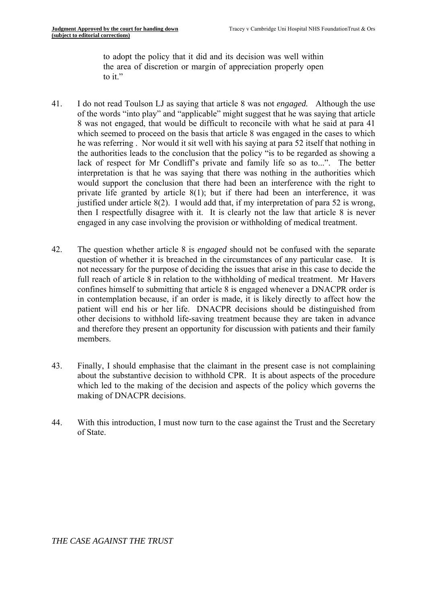to adopt the policy that it did and its decision was well within the area of discretion or margin of appreciation properly open to it."

- 41. I do not read Toulson LJ as saying that article 8 was not *engaged.* Although the use of the words "into play" and "applicable" might suggest that he was saying that article 8 was not engaged, that would be difficult to reconcile with what he said at para 41 which seemed to proceed on the basis that article 8 was engaged in the cases to which he was referring . Nor would it sit well with his saying at para 52 itself that nothing in the authorities leads to the conclusion that the policy "is to be regarded as showing a lack of respect for Mr Condliff's private and family life so as to...". The better interpretation is that he was saying that there was nothing in the authorities which would support the conclusion that there had been an interference with the right to private life granted by article 8(1); but if there had been an interference, it was justified under article 8(2). I would add that, if my interpretation of para 52 is wrong, then I respectfully disagree with it. It is clearly not the law that article 8 is never engaged in any case involving the provision or withholding of medical treatment.
- 42. The question whether article 8 is *engaged* should not be confused with the separate question of whether it is breached in the circumstances of any particular case. It is not necessary for the purpose of deciding the issues that arise in this case to decide the full reach of article 8 in relation to the withholding of medical treatment. Mr Havers confines himself to submitting that article 8 is engaged whenever a DNACPR order is in contemplation because, if an order is made, it is likely directly to affect how the patient will end his or her life. DNACPR decisions should be distinguished from other decisions to withhold life-saving treatment because they are taken in advance and therefore they present an opportunity for discussion with patients and their family members.
- 43. Finally, I should emphasise that the claimant in the present case is not complaining about the substantive decision to withhold CPR. It is about aspects of the procedure which led to the making of the decision and aspects of the policy which governs the making of DNACPR decisions.
- 44. With this introduction, I must now turn to the case against the Trust and the Secretary of State.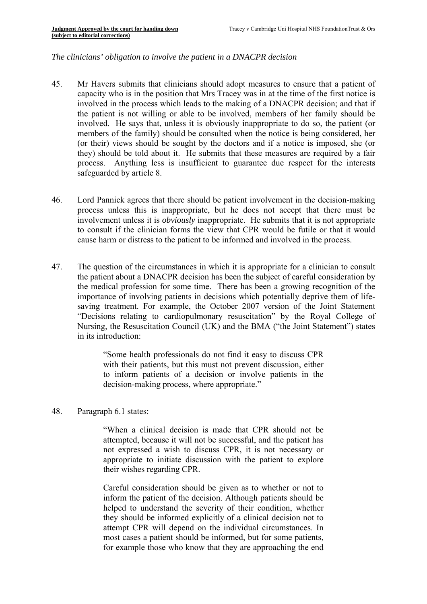#### *The clinicians' obligation to involve the patient in a DNACPR decision*

- 45. Mr Havers submits that clinicians should adopt measures to ensure that a patient of capacity who is in the position that Mrs Tracey was in at the time of the first notice is involved in the process which leads to the making of a DNACPR decision; and that if the patient is not willing or able to be involved, members of her family should be involved. He says that, unless it is obviously inappropriate to do so, the patient (or members of the family) should be consulted when the notice is being considered, her (or their) views should be sought by the doctors and if a notice is imposed, she (or they) should be told about it. He submits that these measures are required by a fair process. Anything less is insufficient to guarantee due respect for the interests safeguarded by article 8.
- 46. Lord Pannick agrees that there should be patient involvement in the decision-making process unless this is inappropriate, but he does not accept that there must be involvement unless it is *obviously* inappropriate. He submits that it is not appropriate to consult if the clinician forms the view that CPR would be futile or that it would cause harm or distress to the patient to be informed and involved in the process.
- 47. The question of the circumstances in which it is appropriate for a clinician to consult the patient about a DNACPR decision has been the subject of careful consideration by the medical profession for some time. There has been a growing recognition of the importance of involving patients in decisions which potentially deprive them of lifesaving treatment. For example, the October 2007 version of the Joint Statement "Decisions relating to cardiopulmonary resuscitation" by the Royal College of Nursing, the Resuscitation Council (UK) and the BMA ("the Joint Statement") states in its introduction:

"Some health professionals do not find it easy to discuss CPR with their patients, but this must not prevent discussion, either to inform patients of a decision or involve patients in the decision-making process, where appropriate."

48. Paragraph 6.1 states:

"When a clinical decision is made that CPR should not be attempted, because it will not be successful, and the patient has not expressed a wish to discuss CPR, it is not necessary or appropriate to initiate discussion with the patient to explore their wishes regarding CPR.

Careful consideration should be given as to whether or not to inform the patient of the decision. Although patients should be helped to understand the severity of their condition, whether they should be informed explicitly of a clinical decision not to attempt CPR will depend on the individual circumstances. In most cases a patient should be informed, but for some patients, for example those who know that they are approaching the end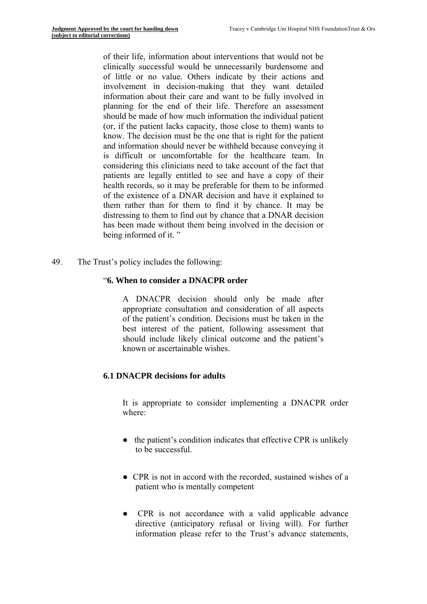of their life, information about interventions that would not be clinically successful would be unnecessarily burdensome and of little or no value. Others indicate by their actions and involvement in decision-making that they want detailed information about their care and want to be fully involved in planning for the end of their life. Therefore an assessment should be made of how much information the individual patient (or, if the patient lacks capacity, those close to them) wants to know. The decision must be the one that is right for the patient and information should never be withheld because conveying it is difficult or uncomfortable for the healthcare team. In considering this clinicians need to take account of the fact that patients are legally entitled to see and have a copy of their health records, so it may be preferable for them to be informed of the existence of a DNAR decision and have it explained to them rather than for them to find it by chance. It may be distressing to them to find out by chance that a DNAR decision has been made without them being involved in the decision or being informed of it. "

49. The Trust's policy includes the following:

#### "**6. When to consider a DNACPR order**

A DNACPR decision should only be made after appropriate consultation and consideration of all aspects of the patient's condition. Decisions must be taken in the best interest of the patient, following assessment that should include likely clinical outcome and the patient's known or ascertainable wishes.

## **6.1 DNACPR decisions for adults**

It is appropriate to consider implementing a DNACPR order where:

- the patient's condition indicates that effective CPR is unlikely to be successful.
- CPR is not in accord with the recorded, sustained wishes of a patient who is mentally competent
- CPR is not accordance with a valid applicable advance directive (anticipatory refusal or living will). For further information please refer to the Trust's advance statements,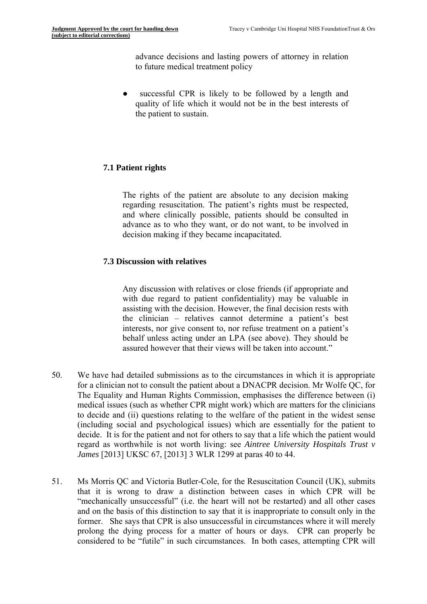advance decisions and lasting powers of attorney in relation to future medical treatment policy

• successful CPR is likely to be followed by a length and quality of life which it would not be in the best interests of the patient to sustain.

## **7.1 Patient rights**

The rights of the patient are absolute to any decision making regarding resuscitation. The patient's rights must be respected, and where clinically possible, patients should be consulted in advance as to who they want, or do not want, to be involved in decision making if they became incapacitated.

#### **7.3 Discussion with relatives**

Any discussion with relatives or close friends (if appropriate and with due regard to patient confidentiality) may be valuable in assisting with the decision. However, the final decision rests with the clinician – relatives cannot determine a patient's best interests, nor give consent to, nor refuse treatment on a patient's behalf unless acting under an LPA (see above). They should be assured however that their views will be taken into account."

- 50. We have had detailed submissions as to the circumstances in which it is appropriate for a clinician not to consult the patient about a DNACPR decision. Mr Wolfe QC, for The Equality and Human Rights Commission, emphasises the difference between (i) medical issues (such as whether CPR might work) which are matters for the clinicians to decide and (ii) questions relating to the welfare of the patient in the widest sense (including social and psychological issues) which are essentially for the patient to decide. It is for the patient and not for others to say that a life which the patient would regard as worthwhile is not worth living: see *Aintree University Hospitals Trust v James* [2013] UKSC 67, [2013] 3 WLR 1299 at paras 40 to 44.
- 51. Ms Morris QC and Victoria Butler-Cole, for the Resuscitation Council (UK), submits that it is wrong to draw a distinction between cases in which CPR will be "mechanically unsuccessful" (i.e. the heart will not be restarted) and all other cases and on the basis of this distinction to say that it is inappropriate to consult only in the former. She says that CPR is also unsuccessful in circumstances where it will merely prolong the dying process for a matter of hours or days. CPR can properly be considered to be "futile" in such circumstances. In both cases, attempting CPR will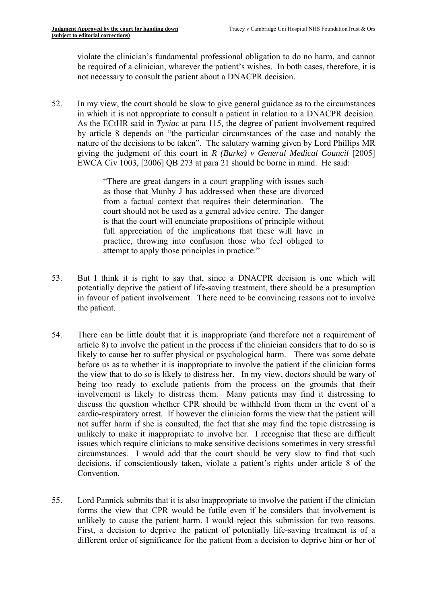violate the clinician's fundamental professional obligation to do no harm, and cannot be required of a clinician, whatever the patient's wishes. In both cases, therefore, it is not necessary to consult the patient about a DNACPR decision.

52. In my view, the court should be slow to give general guidance as to the circumstances in which it is not appropriate to consult a patient in relation to a DNACPR decision. As the ECtHR said in *Tysiac* at para 115*,* the degree of patient involvement required by article 8 depends on "the particular circumstances of the case and notably the nature of the decisions to be taken". The salutary warning given by Lord Phillips MR giving the judgment of this court in *R (Burke) v General Medical Council* [2005] EWCA Civ 1003, [2006] QB 273 at para 21 should be borne in mind. He said:

> "There are great dangers in a court grappling with issues such as those that Munby J has addressed when these are divorced from a factual context that requires their determination. The court should not be used as a general advice centre. The danger is that the court will enunciate propositions of principle without full appreciation of the implications that these will have in practice, throwing into confusion those who feel obliged to attempt to apply those principles in practice."

- 53. But I think it is right to say that, since a DNACPR decision is one which will potentially deprive the patient of life-saving treatment, there should be a presumption in favour of patient involvement. There need to be convincing reasons not to involve the patient.
- 54. There can be little doubt that it is inappropriate (and therefore not a requirement of article 8) to involve the patient in the process if the clinician considers that to do so is likely to cause her to suffer physical or psychological harm. There was some debate before us as to whether it is inappropriate to involve the patient if the clinician forms the view that to do so is likely to distress her. In my view, doctors should be wary of being too ready to exclude patients from the process on the grounds that their involvement is likely to distress them. Many patients may find it distressing to discuss the question whether CPR should be withheld from them in the event of a cardio-respiratory arrest. If however the clinician forms the view that the patient will not suffer harm if she is consulted, the fact that she may find the topic distressing is unlikely to make it inappropriate to involve her. I recognise that these are difficult issues which require clinicians to make sensitive decisions sometimes in very stressful circumstances. I would add that the court should be very slow to find that such decisions, if conscientiously taken, violate a patient's rights under article 8 of the **Convention**
- 55. Lord Pannick submits that it is also inappropriate to involve the patient if the clinician forms the view that CPR would be futile even if he considers that involvement is unlikely to cause the patient harm. I would reject this submission for two reasons. First, a decision to deprive the patient of potentially life-saving treatment is of a different order of significance for the patient from a decision to deprive him or her of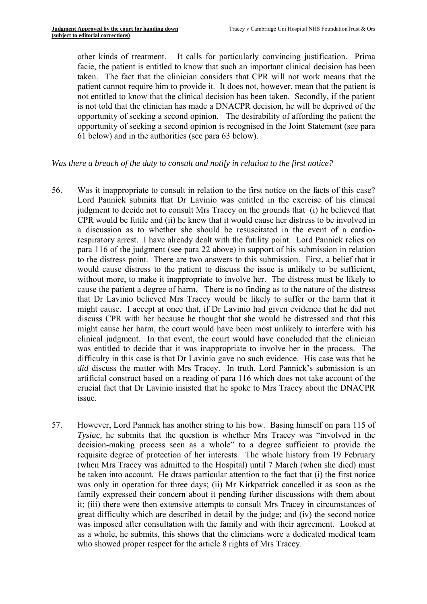other kinds of treatment. It calls for particularly convincing justification. Prima facie, the patient is entitled to know that such an important clinical decision has been taken. The fact that the clinician considers that CPR will not work means that the patient cannot require him to provide it. It does not, however, mean that the patient is not entitled to know that the clinical decision has been taken. Secondly, if the patient is not told that the clinician has made a DNACPR decision, he will be deprived of the opportunity of seeking a second opinion. The desirability of affording the patient the opportunity of seeking a second opinion is recognised in the Joint Statement (see para 61 below) and in the authorities (see para 63 below).

#### *Was there a breach of the duty to consult and notify in relation to the first notice?*

- 56. Was it inappropriate to consult in relation to the first notice on the facts of this case? Lord Pannick submits that Dr Lavinio was entitled in the exercise of his clinical judgment to decide not to consult Mrs Tracey on the grounds that (i) he believed that CPR would be futile and (ii) he knew that it would cause her distress to be involved in a discussion as to whether she should be resuscitated in the event of a cardiorespiratory arrest. I have already dealt with the futility point. Lord Pannick relies on para 116 of the judgment (see para 22 above) in support of his submission in relation to the distress point. There are two answers to this submission. First, a belief that it would cause distress to the patient to discuss the issue is unlikely to be sufficient, without more, to make it inappropriate to involve her. The distress must be likely to cause the patient a degree of harm. There is no finding as to the nature of the distress that Dr Lavinio believed Mrs Tracey would be likely to suffer or the harm that it might cause. I accept at once that, if Dr Lavinio had given evidence that he did not discuss CPR with her because he thought that she would be distressed and that this might cause her harm, the court would have been most unlikely to interfere with his clinical judgment. In that event, the court would have concluded that the clinician was entitled to decide that it was inappropriate to involve her in the process. The difficulty in this case is that Dr Lavinio gave no such evidence. His case was that he *did* discuss the matter with Mrs Tracey. In truth, Lord Pannick's submission is an artificial construct based on a reading of para 116 which does not take account of the crucial fact that Dr Lavinio insisted that he spoke to Mrs Tracey about the DNACPR issue.
- 57. However, Lord Pannick has another string to his bow. Basing himself on para 115 of *Tysiac,* he submits that the question is whether Mrs Tracey was "involved in the decision-making process seen as a whole" to a degree sufficient to provide the requisite degree of protection of her interests. The whole history from 19 February (when Mrs Tracey was admitted to the Hospital) until 7 March (when she died) must be taken into account. He draws particular attention to the fact that (i) the first notice was only in operation for three days; (ii) Mr Kirkpatrick cancelled it as soon as the family expressed their concern about it pending further discussions with them about it; (iii) there were then extensive attempts to consult Mrs Tracey in circumstances of great difficulty which are described in detail by the judge; and (iv) the second notice was imposed after consultation with the family and with their agreement. Looked at as a whole, he submits, this shows that the clinicians were a dedicated medical team who showed proper respect for the article 8 rights of Mrs Tracey.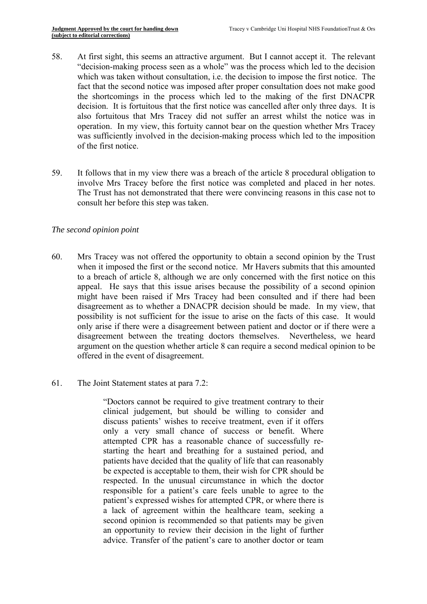- 58. At first sight, this seems an attractive argument. But I cannot accept it. The relevant "decision-making process seen as a whole" was the process which led to the decision which was taken without consultation, i.e. the decision to impose the first notice. The fact that the second notice was imposed after proper consultation does not make good the shortcomings in the process which led to the making of the first DNACPR decision. It is fortuitous that the first notice was cancelled after only three days. It is also fortuitous that Mrs Tracey did not suffer an arrest whilst the notice was in operation. In my view, this fortuity cannot bear on the question whether Mrs Tracey was sufficiently involved in the decision-making process which led to the imposition of the first notice.
- 59. It follows that in my view there was a breach of the article 8 procedural obligation to involve Mrs Tracey before the first notice was completed and placed in her notes. The Trust has not demonstrated that there were convincing reasons in this case not to consult her before this step was taken.

#### *The second opinion point*

- 60. Mrs Tracey was not offered the opportunity to obtain a second opinion by the Trust when it imposed the first or the second notice. Mr Havers submits that this amounted to a breach of article 8, although we are only concerned with the first notice on this appeal. He says that this issue arises because the possibility of a second opinion might have been raised if Mrs Tracey had been consulted and if there had been disagreement as to whether a DNACPR decision should be made. In my view, that possibility is not sufficient for the issue to arise on the facts of this case. It would only arise if there were a disagreement between patient and doctor or if there were a disagreement between the treating doctors themselves. Nevertheless, we heard argument on the question whether article 8 can require a second medical opinion to be offered in the event of disagreement.
- 61. The Joint Statement states at para 7.2:

"Doctors cannot be required to give treatment contrary to their clinical judgement, but should be willing to consider and discuss patients' wishes to receive treatment, even if it offers only a very small chance of success or benefit. Where attempted CPR has a reasonable chance of successfully restarting the heart and breathing for a sustained period, and patients have decided that the quality of life that can reasonably be expected is acceptable to them, their wish for CPR should be respected. In the unusual circumstance in which the doctor responsible for a patient's care feels unable to agree to the patient's expressed wishes for attempted CPR, or where there is a lack of agreement within the healthcare team, seeking a second opinion is recommended so that patients may be given an opportunity to review their decision in the light of further advice. Transfer of the patient's care to another doctor or team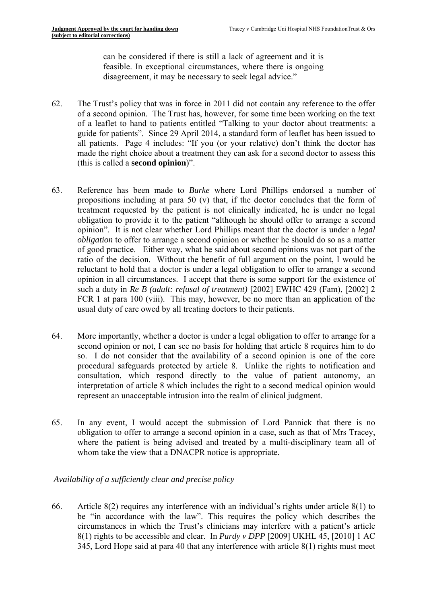can be considered if there is still a lack of agreement and it is feasible. In exceptional circumstances, where there is ongoing disagreement, it may be necessary to seek legal advice."

- 62. The Trust's policy that was in force in 2011 did not contain any reference to the offer of a second opinion. The Trust has, however, for some time been working on the text of a leaflet to hand to patients entitled "Talking to your doctor about treatments: a guide for patients". Since 29 April 2014, a standard form of leaflet has been issued to all patients. Page 4 includes: "If you (or your relative) don't think the doctor has made the right choice about a treatment they can ask for a second doctor to assess this (this is called a **second opinion**)".
- 63. Reference has been made to *Burke* where Lord Phillips endorsed a number of propositions including at para 50 (v) that, if the doctor concludes that the form of treatment requested by the patient is not clinically indicated, he is under no legal obligation to provide it to the patient "although he should offer to arrange a second opinion". It is not clear whether Lord Phillips meant that the doctor is under a *legal obligation* to offer to arrange a second opinion or whether he should do so as a matter of good practice. Either way, what he said about second opinions was not part of the ratio of the decision. Without the benefit of full argument on the point, I would be reluctant to hold that a doctor is under a legal obligation to offer to arrange a second opinion in all circumstances. I accept that there is some support for the existence of such a duty in *Re B (adult: refusal of treatment)* [2002] EWHC 429 (Fam), [2002] 2 FCR 1 at para 100 (viii). This may, however, be no more than an application of the usual duty of care owed by all treating doctors to their patients.
- 64. More importantly, whether a doctor is under a legal obligation to offer to arrange for a second opinion or not, I can see no basis for holding that article 8 requires him to do so. I do not consider that the availability of a second opinion is one of the core procedural safeguards protected by article 8. Unlike the rights to notification and consultation, which respond directly to the value of patient autonomy, an interpretation of article 8 which includes the right to a second medical opinion would represent an unacceptable intrusion into the realm of clinical judgment.
- 65. In any event, I would accept the submission of Lord Pannick that there is no obligation to offer to arrange a second opinion in a case, such as that of Mrs Tracey, where the patient is being advised and treated by a multi-disciplinary team all of whom take the view that a DNACPR notice is appropriate.

## *Availability of a sufficiently clear and precise policy*

66. Article 8(2) requires any interference with an individual's rights under article 8(1) to be "in accordance with the law". This requires the policy which describes the circumstances in which the Trust's clinicians may interfere with a patient's article 8(1) rights to be accessible and clear. In *Purdy v DPP* [2009] UKHL 45, [2010] 1 AC 345, Lord Hope said at para 40 that any interference with article 8(1) rights must meet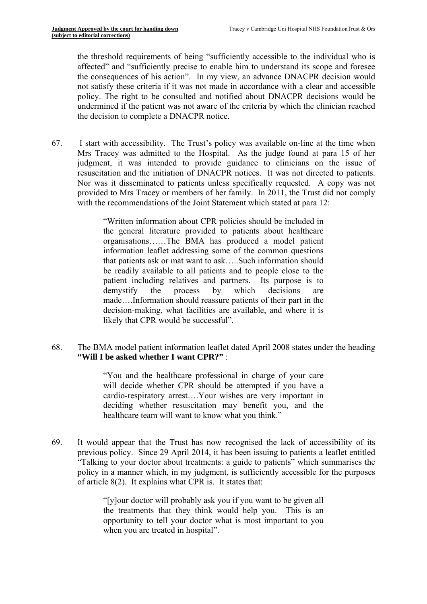the threshold requirements of being "sufficiently accessible to the individual who is affected" and "sufficiently precise to enable him to understand its scope and foresee the consequences of his action". In my view, an advance DNACPR decision would not satisfy these criteria if it was not made in accordance with a clear and accessible policy. The right to be consulted and notified about DNACPR decisions would be undermined if the patient was not aware of the criteria by which the clinician reached the decision to complete a DNACPR notice.

67. I start with accessibility. The Trust's policy was available on-line at the time when Mrs Tracey was admitted to the Hospital. As the judge found at para 15 of her judgment, it was intended to provide guidance to clinicians on the issue of resuscitation and the initiation of DNACPR notices. It was not directed to patients. Nor was it disseminated to patients unless specifically requested. A copy was not provided to Mrs Tracey or members of her family. In 2011, the Trust did not comply with the recommendations of the Joint Statement which stated at para 12:

> "Written information about CPR policies should be included in the general literature provided to patients about healthcare organisations……The BMA has produced a model patient information leaflet addressing some of the common questions that patients ask or mat want to ask…..Such information should be readily available to all patients and to people close to the patient including relatives and partners. Its purpose is to demystify the process by which decisions are made….Information should reassure patients of their part in the decision-making, what facilities are available, and where it is likely that CPR would be successful".

68. The BMA model patient information leaflet dated April 2008 states under the heading **"Will I be asked whether I want CPR?"** :

> "You and the healthcare professional in charge of your care will decide whether CPR should be attempted if you have a cardio-respiratory arrest….Your wishes are very important in deciding whether resuscitation may benefit you, and the healthcare team will want to know what you think."

69. It would appear that the Trust has now recognised the lack of accessibility of its previous policy. Since 29 April 2014, it has been issuing to patients a leaflet entitled "Talking to your doctor about treatments: a guide to patients" which summarises the policy in a manner which, in my judgment, is sufficiently accessible for the purposes of article 8(2). It explains what CPR is. It states that:

> "[y]our doctor will probably ask you if you want to be given all the treatments that they think would help you. This is an opportunity to tell your doctor what is most important to you when you are treated in hospital".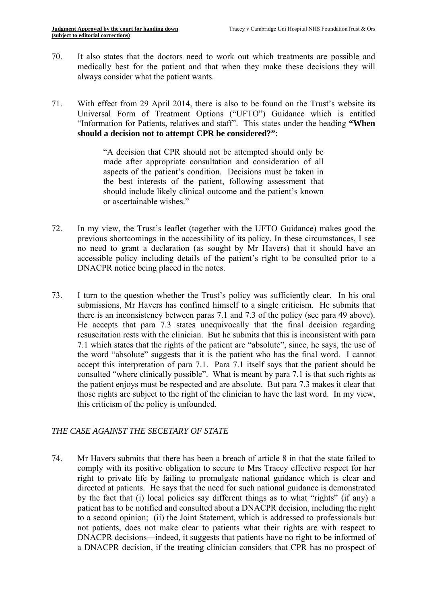- 70. It also states that the doctors need to work out which treatments are possible and medically best for the patient and that when they make these decisions they will always consider what the patient wants.
- 71. With effect from 29 April 2014, there is also to be found on the Trust's website its Universal Form of Treatment Options ("UFTO") Guidance which is entitled "Information for Patients, relatives and staff". This states under the heading **"When should a decision not to attempt CPR be considered?"**:

"A decision that CPR should not be attempted should only be made after appropriate consultation and consideration of all aspects of the patient's condition. Decisions must be taken in the best interests of the patient, following assessment that should include likely clinical outcome and the patient's known or ascertainable wishes."

- 72. In my view, the Trust's leaflet (together with the UFTO Guidance) makes good the previous shortcomings in the accessibility of its policy. In these circumstances, I see no need to grant a declaration (as sought by Mr Havers) that it should have an accessible policy including details of the patient's right to be consulted prior to a DNACPR notice being placed in the notes.
- 73. I turn to the question whether the Trust's policy was sufficiently clear. In his oral submissions, Mr Havers has confined himself to a single criticism. He submits that there is an inconsistency between paras 7.1 and 7.3 of the policy (see para 49 above). He accepts that para 7.3 states unequivocally that the final decision regarding resuscitation rests with the clinician. But he submits that this is inconsistent with para 7.1 which states that the rights of the patient are "absolute", since, he says, the use of the word "absolute" suggests that it is the patient who has the final word. I cannot accept this interpretation of para 7.1. Para 7.1 itself says that the patient should be consulted "where clinically possible". What is meant by para 7.1 is that such rights as the patient enjoys must be respected and are absolute. But para 7.3 makes it clear that those rights are subject to the right of the clinician to have the last word. In my view, this criticism of the policy is unfounded.

# *THE CASE AGAINST THE SECETARY OF STATE*

74. Mr Havers submits that there has been a breach of article 8 in that the state failed to comply with its positive obligation to secure to Mrs Tracey effective respect for her right to private life by failing to promulgate national guidance which is clear and directed at patients. He says that the need for such national guidance is demonstrated by the fact that (i) local policies say different things as to what "rights" (if any) a patient has to be notified and consulted about a DNACPR decision, including the right to a second opinion; (ii) the Joint Statement, which is addressed to professionals but not patients, does not make clear to patients what their rights are with respect to DNACPR decisions—indeed, it suggests that patients have no right to be informed of a DNACPR decision, if the treating clinician considers that CPR has no prospect of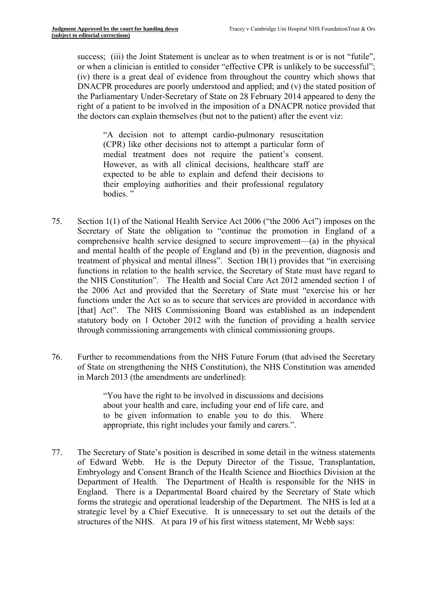success; (iii) the Joint Statement is unclear as to when treatment is or is not "futile", or when a clinician is entitled to consider "effective CPR is unlikely to be successful"; (iv) there is a great deal of evidence from throughout the country which shows that DNACPR procedures are poorly understood and applied; and (v) the stated position of the Parliamentary Under-Secretary of State on 28 February 2014 appeared to deny the right of a patient to be involved in the imposition of a DNACPR notice provided that the doctors can explain themselves (but not to the patient) after the event viz:

medial treatment does not require the patient's consent. "A decision not to attempt cardio-pulmonary resuscitation (CPR) like other decisions not to attempt a particular form of However, as with all clinical decisions, healthcare staff are expected to be able to explain and defend their decisions to their employing authorities and their professional regulatory bodies. "

- 75. Section 1(1) of the National Health Service Act 2006 ("the 2006 Act") imposes on the Secretary of State the obligation to "continue the promotion in England of a comprehensive health service designed to secure improvement—(a) in the physical and mental health of the people of England and (b) in the prevention, diagnosis and treatment of physical and mental illness". Section 1B(1) provides that "in exercising functions in relation to the health service, the Secretary of State must have regard to the NHS Constitution". The Health and Social Care Act 2012 amended section 1 of the 2006 Act and provided that the Secretary of State must "exercise his or her functions under the Act so as to secure that services are provided in accordance with [that] Act". The NHS Commissioning Board was established as an independent statutory body on 1 October 2012 with the function of providing a health service through commissioning arrangements with clinical commissioning groups.
- 76. Further to recommendations from the NHS Future Forum (that advised the Secretary of State on strengthening the NHS Constitution), the NHS Constitution was amended in March 2013 (the amendments are underlined):

"You have the right to be involved in discussions and decisions about your health and care, including your end of life care, and to be given information to enable you to do this. Where appropriate, this right includes your family and carers.".

77. The Secretary of State's position is described in some detail in the witness statements of Edward Webb. He is the Deputy Director of the Tissue, Transplantation, Embryology and Consent Branch of the Health Science and Bioethics Division at the Department of Health. The Department of Health is responsible for the NHS in England. There is a Departmental Board chaired by the Secretary of State which forms the strategic and operational leadership of the Department. The NHS is led at a strategic level by a Chief Executive. It is unnecessary to set out the details of the structures of the NHS. At para 19 of his first witness statement, Mr Webb says: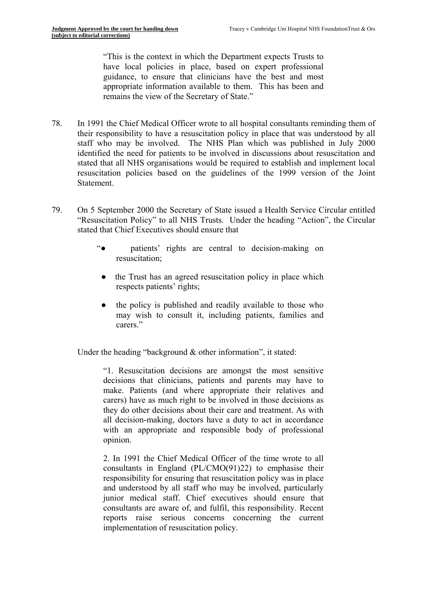"This is the context in which the Department expects Trusts to have local policies in place, based on expert professional guidance, to ensure that clinicians have the best and most appropriate information available to them. This has been and remains the view of the Secretary of State."

- 78. In 1991 the Chief Medical Officer wrote to all hospital consultants reminding them of their responsibility to have a resuscitation policy in place that was understood by all staff who may be involved. The NHS Plan which was published in July 2000 identified the need for patients to be involved in discussions about resuscitation and stated that all NHS organisations would be required to establish and implement local resuscitation policies based on the guidelines of the 1999 version of the Joint Statement.
- 79. On 5 September 2000 the Secretary of State issued a Health Service Circular entitled "Resuscitation Policy" to all NHS Trusts. Under the heading "Action", the Circular stated that Chief Executives should ensure that
	- "● patients' rights are central to decision-making on resuscitation;
		- the Trust has an agreed resuscitation policy in place which respects patients' rights;
		- the policy is published and readily available to those who may wish to consult it, including patients, families and carers<sup>"</sup>

Under the heading "background & other information", it stated:

"1. Resuscitation decisions are amongst the most sensitive decisions that clinicians, patients and parents may have to make. Patients (and where appropriate their relatives and carers) have as much right to be involved in those decisions as they do other decisions about their care and treatment. As with all decision-making, doctors have a duty to act in accordance with an appropriate and responsible body of professional opinion.

2. In 1991 the Chief Medical Officer of the time wrote to all consultants in England (PL/CMO(91)22) to emphasise their responsibility for ensuring that resuscitation policy was in place and understood by all staff who may be involved, particularly junior medical staff. Chief executives should ensure that consultants are aware of, and fulfil, this responsibility. Recent reports raise serious concerns concerning the current implementation of resuscitation policy.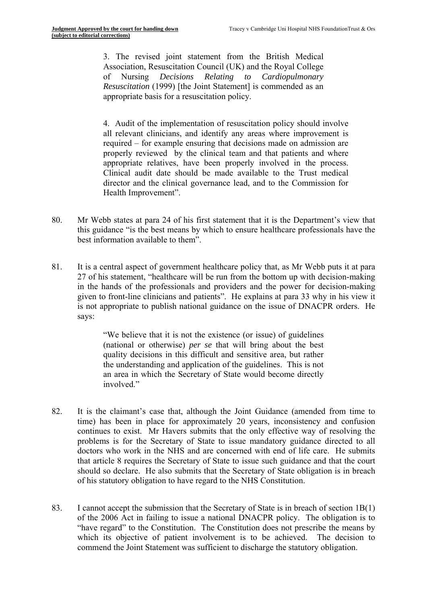3. The revised joint statement from the British Medical Association, Resuscitation Council (UK) and the Royal College of Nursing *Decisions Relating to Cardiopulmonary Resuscitation* (1999) [the Joint Statement] is commended as an appropriate basis for a resuscitation policy.

4. Audit of the implementation of resuscitation policy should involve all relevant clinicians, and identify any areas where improvement is required – for example ensuring that decisions made on admission are properly reviewed by the clinical team and that patients and where appropriate relatives, have been properly involved in the process. Clinical audit date should be made available to the Trust medical director and the clinical governance lead, and to the Commission for Health Improvement".

- 80. Mr Webb states at para 24 of his first statement that it is the Department's view that this guidance "is the best means by which to ensure healthcare professionals have the best information available to them".
- 81. It is a central aspect of government healthcare policy that, as Mr Webb puts it at para 27 of his statement, "healthcare will be run from the bottom up with decision-making in the hands of the professionals and providers and the power for decision-making given to front-line clinicians and patients". He explains at para 33 why in his view it is not appropriate to publish national guidance on the issue of DNACPR orders. He says:

"We believe that it is not the existence (or issue) of guidelines (national or otherwise) *per se* that will bring about the best quality decisions in this difficult and sensitive area, but rather the understanding and application of the guidelines. This is not an area in which the Secretary of State would become directly involved."

- 82. It is the claimant's case that, although the Joint Guidance (amended from time to time) has been in place for approximately 20 years, inconsistency and confusion continues to exist. Mr Havers submits that the only effective way of resolving the problems is for the Secretary of State to issue mandatory guidance directed to all doctors who work in the NHS and are concerned with end of life care. He submits that article 8 requires the Secretary of State to issue such guidance and that the court should so declare. He also submits that the Secretary of State obligation is in breach of his statutory obligation to have regard to the NHS Constitution.
- 83. I cannot accept the submission that the Secretary of State is in breach of section 1B(1) of the 2006 Act in failing to issue a national DNACPR policy. The obligation is to "have regard" to the Constitution. The Constitution does not prescribe the means by which its objective of patient involvement is to be achieved. The decision to commend the Joint Statement was sufficient to discharge the statutory obligation.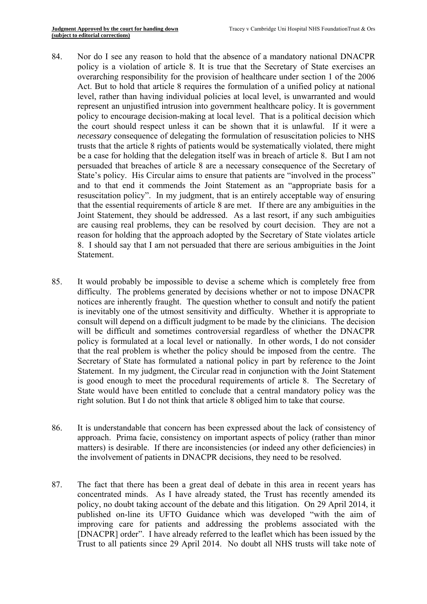- 84. Nor do I see any reason to hold that the absence of a mandatory national DNACPR policy is a violation of article 8. It is true that the Secretary of State exercises an overarching responsibility for the provision of healthcare under section 1 of the 2006 Act. But to hold that article 8 requires the formulation of a unified policy at national level, rather than having individual policies at local level, is unwarranted and would represent an unjustified intrusion into government healthcare policy. It is government policy to encourage decision-making at local level. That is a political decision which the court should respect unless it can be shown that it is unlawful. If it were a *necessary* consequence of delegating the formulation of resuscitation policies to NHS trusts that the article 8 rights of patients would be systematically violated, there might be a case for holding that the delegation itself was in breach of article 8. But I am not persuaded that breaches of article 8 are a necessary consequence of the Secretary of State's policy. His Circular aims to ensure that patients are "involved in the process" and to that end it commends the Joint Statement as an "appropriate basis for a resuscitation policy". In my judgment, that is an entirely acceptable way of ensuring that the essential requirements of article 8 are met. If there are any ambiguities in the Joint Statement, they should be addressed. As a last resort, if any such ambiguities are causing real problems, they can be resolved by court decision. They are not a reason for holding that the approach adopted by the Secretary of State violates article 8. I should say that I am not persuaded that there are serious ambiguities in the Joint Statement.
- 85. It would probably be impossible to devise a scheme which is completely free from difficulty. The problems generated by decisions whether or not to impose DNACPR notices are inherently fraught. The question whether to consult and notify the patient is inevitably one of the utmost sensitivity and difficulty. Whether it is appropriate to consult will depend on a difficult judgment to be made by the clinicians. The decision will be difficult and sometimes controversial regardless of whether the DNACPR policy is formulated at a local level or nationally. In other words, I do not consider that the real problem is whether the policy should be imposed from the centre. The Secretary of State has formulated a national policy in part by reference to the Joint Statement. In my judgment, the Circular read in conjunction with the Joint Statement is good enough to meet the procedural requirements of article 8. The Secretary of State would have been entitled to conclude that a central mandatory policy was the right solution. But I do not think that article 8 obliged him to take that course.
- 86. It is understandable that concern has been expressed about the lack of consistency of approach. Prima facie, consistency on important aspects of policy (rather than minor matters) is desirable. If there are inconsistencies (or indeed any other deficiencies) in the involvement of patients in DNACPR decisions, they need to be resolved.
- 87. The fact that there has been a great deal of debate in this area in recent years has concentrated minds. As I have already stated, the Trust has recently amended its policy, no doubt taking account of the debate and this litigation. On 29 April 2014, it published on-line its UFTO Guidance which was developed "with the aim of improving care for patients and addressing the problems associated with the [DNACPR] order". I have already referred to the leaflet which has been issued by the Trust to all patients since 29 April 2014. No doubt all NHS trusts will take note of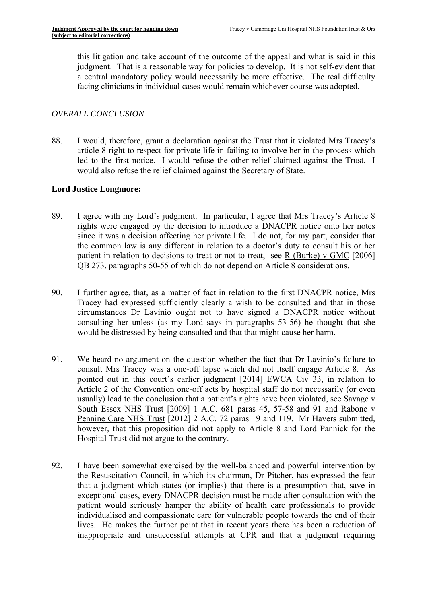this litigation and take account of the outcome of the appeal and what is said in this judgment. That is a reasonable way for policies to develop. It is not self-evident that a central mandatory policy would necessarily be more effective. The real difficulty facing clinicians in individual cases would remain whichever course was adopted.

## *OVERALL CONCLUSION*

88. I would, therefore, grant a declaration against the Trust that it violated Mrs Tracey's article 8 right to respect for private life in failing to involve her in the process which led to the first notice. I would refuse the other relief claimed against the Trust. I would also refuse the relief claimed against the Secretary of State.

## **Lord Justice Longmore:**

- 89. I agree with my Lord's judgment. In particular, I agree that Mrs Tracey's Article 8 rights were engaged by the decision to introduce a DNACPR notice onto her notes since it was a decision affecting her private life. I do not, for my part, consider that the common law is any different in relation to a doctor's duty to consult his or her patient in relation to decisions to treat or not to treat, see R (Burke) v GMC [2006] QB 273, paragraphs 50-55 of which do not depend on Article 8 considerations.
- 90. I further agree, that, as a matter of fact in relation to the first DNACPR notice, Mrs Tracey had expressed sufficiently clearly a wish to be consulted and that in those circumstances Dr Lavinio ought not to have signed a DNACPR notice without consulting her unless (as my Lord says in paragraphs 53-56) he thought that she would be distressed by being consulted and that that might cause her harm.
- 91. We heard no argument on the question whether the fact that Dr Lavinio's failure to consult Mrs Tracey was a one-off lapse which did not itself engage Article 8. As pointed out in this court's earlier judgment [2014] EWCA Civ 33, in relation to Article 2 of the Convention one-off acts by hospital staff do not necessarily (or even usually) lead to the conclusion that a patient's rights have been violated, see Savage v South Essex NHS Trust [2009] 1 A.C. 681 paras 45, 57-58 and 91 and Rabone v Pennine Care NHS Trust [2012] 2 A.C. 72 paras 19 and 119. Mr Havers submitted, however, that this proposition did not apply to Article 8 and Lord Pannick for the Hospital Trust did not argue to the contrary.
- 92. I have been somewhat exercised by the well-balanced and powerful intervention by the Resuscitation Council, in which its chairman, Dr Pitcher, has expressed the fear that a judgment which states (or implies) that there is a presumption that, save in exceptional cases, every DNACPR decision must be made after consultation with the patient would seriously hamper the ability of health care professionals to provide individualised and compassionate care for vulnerable people towards the end of their lives. He makes the further point that in recent years there has been a reduction of inappropriate and unsuccessful attempts at CPR and that a judgment requiring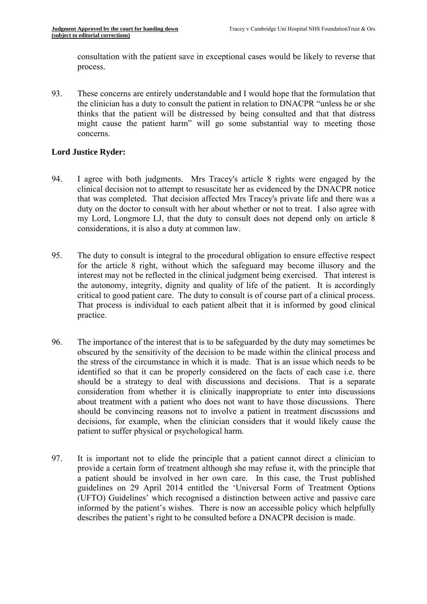consultation with the patient save in exceptional cases would be likely to reverse that process.

93. These concerns are entirely understandable and I would hope that the formulation that the clinician has a duty to consult the patient in relation to DNACPR "unless he or she thinks that the patient will be distressed by being consulted and that that distress might cause the patient harm" will go some substantial way to meeting those concerns.

## **Lord Justice Ryder:**

- 94. I agree with both judgments. Mrs Tracey's article 8 rights were engaged by the clinical decision not to attempt to resuscitate her as evidenced by the DNACPR notice that was completed. That decision affected Mrs Tracey's private life and there was a duty on the doctor to consult with her about whether or not to treat. I also agree with my Lord, Longmore LJ, that the duty to consult does not depend only on article 8 considerations, it is also a duty at common law.
- 95. The duty to consult is integral to the procedural obligation to ensure effective respect for the article 8 right, without which the safeguard may become illusory and the interest may not be reflected in the clinical judgment being exercised. That interest is the autonomy, integrity, dignity and quality of life of the patient. It is accordingly critical to good patient care. The duty to consult is of course part of a clinical process. That process is individual to each patient albeit that it is informed by good clinical practice.
- 96. The importance of the interest that is to be safeguarded by the duty may sometimes be obscured by the sensitivity of the decision to be made within the clinical process and the stress of the circumstance in which it is made. That is an issue which needs to be identified so that it can be properly considered on the facts of each case i.e. there should be a strategy to deal with discussions and decisions. That is a separate consideration from whether it is clinically inappropriate to enter into discussions about treatment with a patient who does not want to have those discussions. There should be convincing reasons not to involve a patient in treatment discussions and decisions, for example, when the clinician considers that it would likely cause the patient to suffer physical or psychological harm.
- 97. It is important not to elide the principle that a patient cannot direct a clinician to provide a certain form of treatment although she may refuse it, with the principle that a patient should be involved in her own care. In this case, the Trust published guidelines on 29 April 2014 entitled the 'Universal Form of Treatment Options (UFTO) Guidelines' which recognised a distinction between active and passive care informed by the patient's wishes. There is now an accessible policy which helpfully describes the patient's right to be consulted before a DNACPR decision is made.